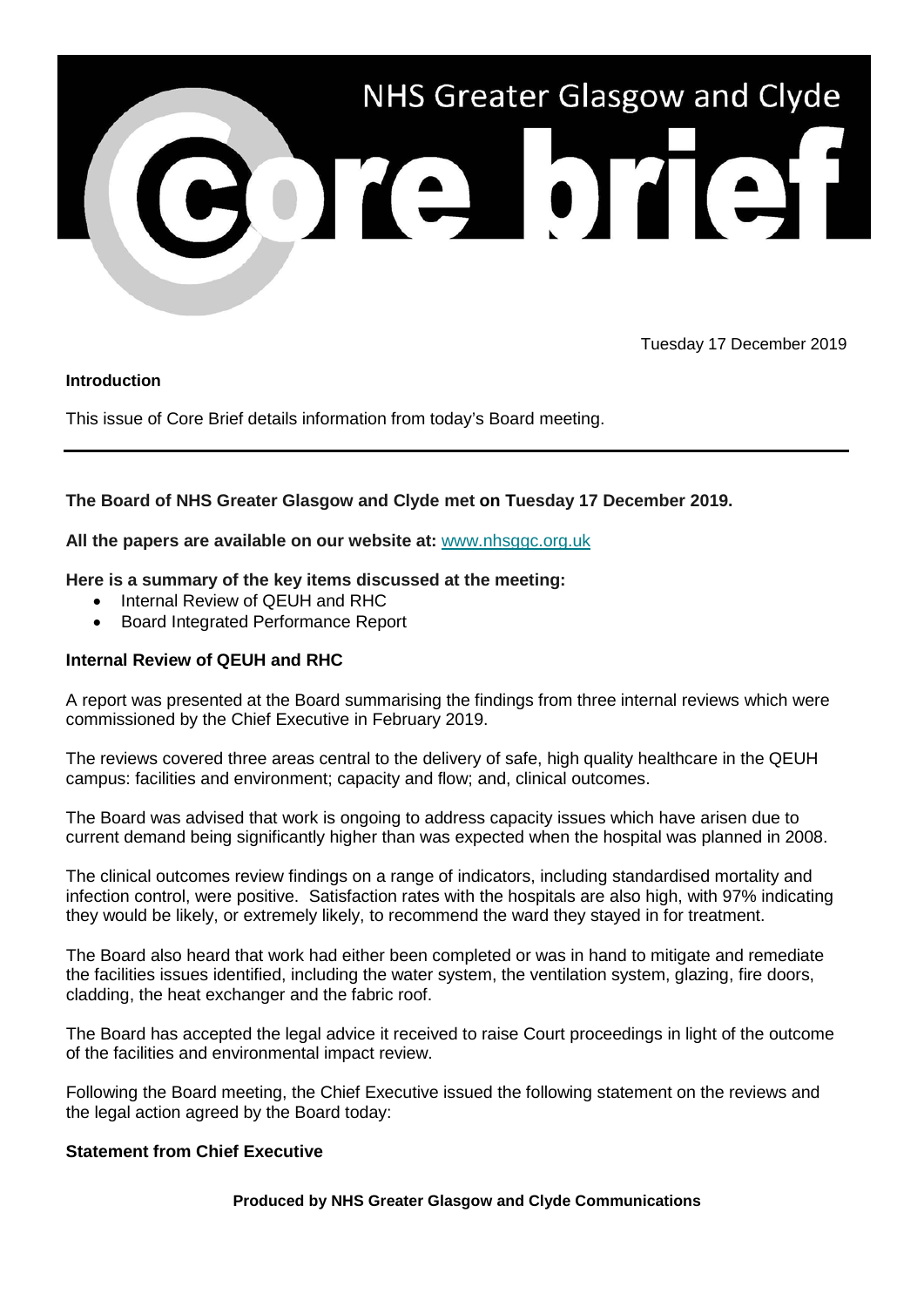

Tuesday 17 December 2019

### **Introduction**

This issue of Core Brief details information from today's Board meeting.

# **The Board of NHS Greater Glasgow and Clyde met on Tuesday 17 December 2019.**

### **All the papers are available on our website at:** [www.nhsggc.org.uk](https://www.nhsggc.org.uk/about-us/nhsggc-board/board-meetings-papers-reports/papers/2019/?utm_source=Core%20Brief&utm_medium=Email&utm_campaign=CB%20-%20board_papers)

### **Here is a summary of the key items discussed at the meeting:**

- Internal Review of QEUH and RHC
- Board Integrated Performance Report

## **Internal Review of QEUH and RHC**

A report was presented at the Board summarising the findings from three internal reviews which were commissioned by the Chief Executive in February 2019.

The reviews covered three areas central to the delivery of safe, high quality healthcare in the QEUH campus: facilities and environment; capacity and flow; and, clinical outcomes.

The Board was advised that work is ongoing to address capacity issues which have arisen due to current demand being significantly higher than was expected when the hospital was planned in 2008.

The clinical outcomes review findings on a range of indicators, including standardised mortality and infection control, were positive. Satisfaction rates with the hospitals are also high, with 97% indicating they would be likely, or extremely likely, to recommend the ward they stayed in for treatment.

The Board also heard that work had either been completed or was in hand to mitigate and remediate the facilities issues identified, including the water system, the ventilation system, glazing, fire doors, cladding, the heat exchanger and the fabric roof.

The Board has accepted the legal advice it received to raise Court proceedings in light of the outcome of the facilities and environmental impact review.

Following the Board meeting, the Chief Executive issued the following statement on the reviews and the legal action agreed by the Board today:

#### **Statement from Chief Executive**

#### **Produced by NHS Greater Glasgow and Clyde Communications**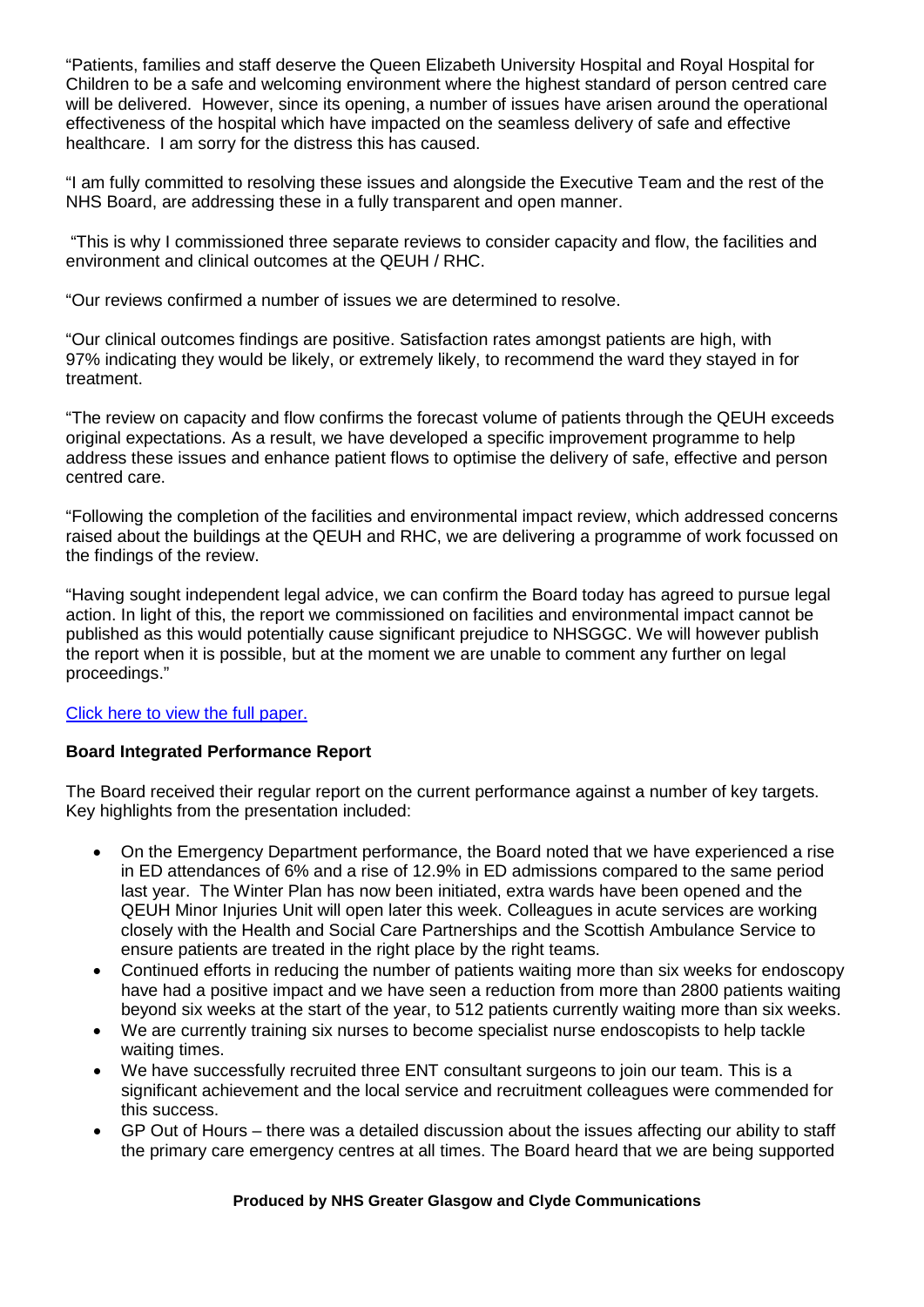"Patients, families and staff deserve the Queen Elizabeth University Hospital and Royal Hospital for Children to be a safe and welcoming environment where the highest standard of person centred care will be delivered. However, since its opening, a number of issues have arisen around the operational effectiveness of the hospital which have impacted on the seamless delivery of safe and effective healthcare. I am sorry for the distress this has caused.

"I am fully committed to resolving these issues and alongside the Executive Team and the rest of the NHS Board, are addressing these in a fully transparent and open manner.

"This is why I commissioned three separate reviews to consider capacity and flow, the facilities and environment and clinical outcomes at the QEUH / RHC.

"Our reviews confirmed a number of issues we are determined to resolve.

"Our clinical outcomes findings are positive. Satisfaction rates amongst patients are high, with 97% indicating they would be likely, or extremely likely, to recommend the ward they stayed in for treatment.

"The review on capacity and flow confirms the forecast volume of patients through the QEUH exceeds original expectations. As a result, we have developed a specific improvement programme to help address these issues and enhance patient flows to optimise the delivery of safe, effective and person centred care.

"Following the completion of the facilities and environmental impact review, which addressed concerns raised about the buildings at the QEUH and RHC, we are delivering a programme of work focussed on the findings of the review.

"Having sought independent legal advice, we can confirm the Board today has agreed to pursue legal action. In light of this, the report we commissioned on facilities and environmental impact cannot be published as this would potentially cause significant prejudice to NHSGGC. We will however publish the report when it is possible, but at the moment we are unable to comment any further on legal proceedings."

# [Click here to view the full paper.](https://www.nhsggc.org.uk/media/257571/nhsggc_board_paper_19-67.pdf)

# **Board Integrated Performance Report**

The Board received their regular report on the current performance against a number of key targets. Key highlights from the presentation included:

- On the Emergency Department performance, the Board noted that we have experienced a rise in ED attendances of 6% and a rise of 12.9% in ED admissions compared to the same period last year. The Winter Plan has now been initiated, extra wards have been opened and the QEUH Minor Injuries Unit will open later this week. Colleagues in acute services are working closely with the Health and Social Care Partnerships and the Scottish Ambulance Service to ensure patients are treated in the right place by the right teams.
- Continued efforts in reducing the number of patients waiting more than six weeks for endoscopy have had a positive impact and we have seen a reduction from more than 2800 patients waiting beyond six weeks at the start of the year, to 512 patients currently waiting more than six weeks.
- We are currently training six nurses to become specialist nurse endoscopists to help tackle waiting times.
- We have successfully recruited three ENT consultant surgeons to join our team. This is a significant achievement and the local service and recruitment colleagues were commended for this success.
- GP Out of Hours there was a detailed discussion about the issues affecting our ability to staff the primary care emergency centres at all times. The Board heard that we are being supported

#### **Produced by NHS Greater Glasgow and Clyde Communications**